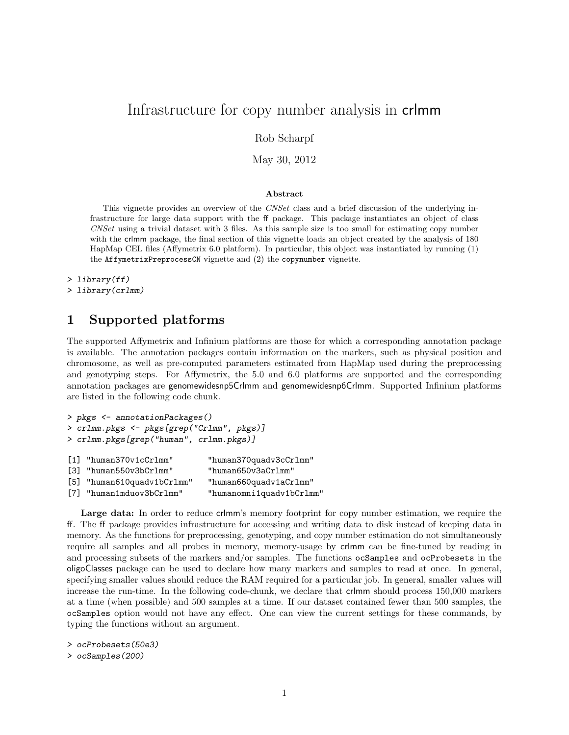# Infrastructure for copy number analysis in crlmm

Rob Scharpf

May 30, 2012

#### Abstract

This vignette provides an overview of the CNSet class and a brief discussion of the underlying infrastructure for large data support with the ff package. This package instantiates an object of class CNSet using a trivial dataset with 3 files. As this sample size is too small for estimating copy number with the crlmm package, the final section of this vignette loads an object created by the analysis of 180 HapMap CEL files (Affymetrix 6.0 platform). In particular, this object was instantiated by running (1) the AffymetrixPreprocessCN vignette and (2) the copynumber vignette.

```
> library(ff)
```

```
> library(crlmm)
```
# 1 Supported platforms

The supported Affymetrix and Infinium platforms are those for which a corresponding annotation package is available. The annotation packages contain information on the markers, such as physical position and chromosome, as well as pre-computed parameters estimated from HapMap used during the preprocessing and genotyping steps. For Affymetrix, the 5.0 and 6.0 platforms are supported and the corresponding annotation packages are genomewidesnp5Crlmm and genomewidesnp6Crlmm. Supported Infinium platforms are listed in the following code chunk.

```
> pkgs <- annotationPackages()
> crlmm.pkgs <- pkgs[grep("Crlmm", pkgs)]
> crlmm.pkgs[grep("human", crlmm.pkgs)]
[1] "human370v1cCrlmm" "human370quadv3cCrlmm"
[3] "human550v3bCrlmm" "human650v3aCrlmm"
[5] "human610quadv1bCrlmm" "human660quadv1aCrlmm"
[7] "human1mduov3bCrlmm" "humanomni1quadv1bCrlmm"
```
Large data: In order to reduce crlmm's memory footprint for copy number estimation, we require the ff. The ff package provides infrastructure for accessing and writing data to disk instead of keeping data in memory. As the functions for preprocessing, genotyping, and copy number estimation do not simultaneously require all samples and all probes in memory, memory-usage by crlmm can be fine-tuned by reading in and processing subsets of the markers and/or samples. The functions ocSamples and ocProbesets in the oligoClasses package can be used to declare how many markers and samples to read at once. In general, specifying smaller values should reduce the RAM required for a particular job. In general, smaller values will increase the run-time. In the following code-chunk, we declare that crlmm should process 150,000 markers at a time (when possible) and 500 samples at a time. If our dataset contained fewer than 500 samples, the ocSamples option would not have any effect. One can view the current settings for these commands, by typing the functions without an argument.

> ocProbesets(50e3)

> ocSamples(200)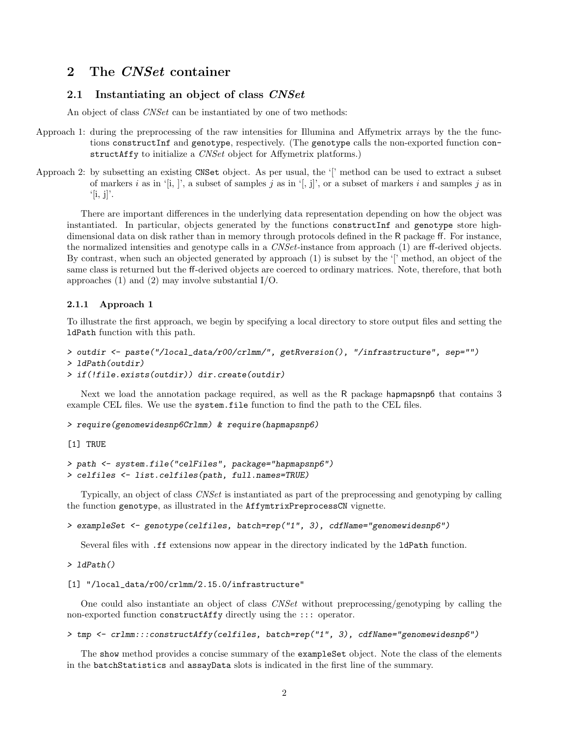## 2 The CNSet container

## 2.1 Instantiating an object of class CNSet

An object of class CNSet can be instantiated by one of two methods:

- Approach 1: during the preprocessing of the raw intensities for Illumina and Affymetrix arrays by the the functions constructInf and genotype, respectively. (The genotype calls the non-exported function constructAffy to initialize a *CNSet* object for Affymetrix platforms.)
- Approach 2: by subsetting an existing CNSet object. As per usual, the '[' method can be used to extract a subset of markers i as in '[i, ]', a subset of samples j as in '[, j]', or a subset of markers i and samples j as in  $'[i, j]'$ .

There are important differences in the underlying data representation depending on how the object was instantiated. In particular, objects generated by the functions constructInf and genotype store highdimensional data on disk rather than in memory through protocols defined in the R package ff. For instance, the normalized intensities and genotype calls in a CNSet-instance from approach (1) are ff-derived objects. By contrast, when such an objected generated by approach (1) is subset by the '[' method, an object of the same class is returned but the ff-derived objects are coerced to ordinary matrices. Note, therefore, that both approaches (1) and (2) may involve substantial I/O.

#### 2.1.1 Approach 1

To illustrate the first approach, we begin by specifying a local directory to store output files and setting the ldPath function with this path.

```
> outdir <- paste("/local_data/r00/crlmm/", getRversion(), "/infrastructure", sep="")
```

```
> ldPath(outdir)
```
> if(!file.exists(outdir)) dir.create(outdir)

Next we load the annotation package required, as well as the R package hapmapsnp6 that contains 3 example CEL files. We use the system.file function to find the path to the CEL files.

> require(genomewidesnp6Crlmm) & require(hapmapsnp6)

[1] TRUE

```
> path <- system.file("celFiles", package="hapmapsnp6")
> celfiles <- list.celfiles(path, full.names=TRUE)
```
Typically, an object of class CNSet is instantiated as part of the preprocessing and genotyping by calling the function genotype, as illustrated in the AffymtrixPreprocessCN vignette.

```
> exampleSet <- genotype(celfiles, batch=rep("1", 3), cdfName="genomewidesnp6")
```
Several files with .ff extensions now appear in the directory indicated by the ldPath function.

> ldPath()

```
[1] "/local_data/r00/crlmm/2.15.0/infrastructure"
```
One could also instantiate an object of class CNSet without preprocessing/genotyping by calling the non-exported function constructAffy directly using the ::: operator.

> tmp <- crlmm:::constructAffy(celfiles, batch=rep("1", 3), cdfName="genomewidesnp6")

The show method provides a concise summary of the exampleSet object. Note the class of the elements in the batchStatistics and assayData slots is indicated in the first line of the summary.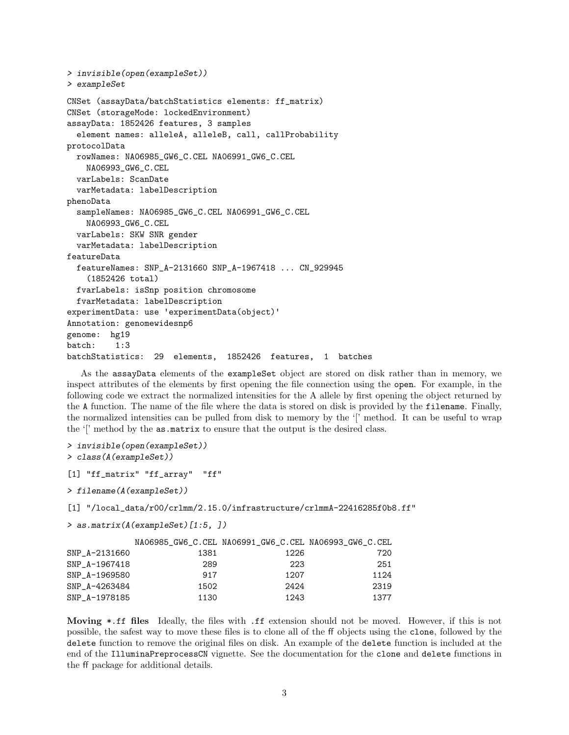```
> invisible(open(exampleSet))
> exampleSet
CNSet (assayData/batchStatistics elements: ff_matrix)
CNSet (storageMode: lockedEnvironment)
assayData: 1852426 features, 3 samples
  element names: alleleA, alleleB, call, callProbability
protocolData
  rowNames: NA06985_GW6_C.CEL NA06991_GW6_C.CEL
   NA06993_GW6_C.CEL
  varLabels: ScanDate
  varMetadata: labelDescription
phenoData
  sampleNames: NA06985_GW6_C.CEL NA06991_GW6_C.CEL
   NA06993_GW6_C.CEL
  varLabels: SKW SNR gender
  varMetadata: labelDescription
featureData
  featureNames: SNP_A-2131660 SNP_A-1967418 ... CN_929945
    (1852426 total)
  fvarLabels: isSnp position chromosome
  fvarMetadata: labelDescription
experimentData: use 'experimentData(object)'
Annotation: genomewidesnp6
genome: hg19
batch: 1:3
batchStatistics: 29 elements, 1852426 features, 1 batches
```
As the assayData elements of the exampleSet object are stored on disk rather than in memory, we inspect attributes of the elements by first opening the file connection using the open. For example, in the following code we extract the normalized intensities for the A allele by first opening the object returned by the A function. The name of the file where the data is stored on disk is provided by the filename. Finally, the normalized intensities can be pulled from disk to memory by the '[' method. It can be useful to wrap the '[' method by the as.matrix to ensure that the output is the desired class.

```
> invisible(open(exampleSet))
> class(A(exampleSet))
```

```
[1] "ff_matrix" "ff_array" "ff"
```
> filename(A(exampleSet))

[1] "/local\_data/r00/crlmm/2.15.0/infrastructure/crlmmA-22416285f0b8.ff"

```
> as.matrix(A(exampleSet)[1:5, ])
```

|               |      | NA06985_GW6_C.CEL NA06991_GW6_C.CEL NA06993_GW6_C.CEL |      |
|---------------|------|-------------------------------------------------------|------|
| SNP_A-2131660 | 1381 | 1226                                                  | 720  |
| SNP A-1967418 | 289  | 223                                                   | 251  |
| SNP A-1969580 | 917  | 1207                                                  | 1124 |
| SNP A-4263484 | 1502 | 2424                                                  | 2319 |
| SNP A-1978185 | 1130 | 1243                                                  | 1377 |

Moving \*.ff files Ideally, the files with .ff extension should not be moved. However, if this is not possible, the safest way to move these files is to clone all of the ff objects using the clone, followed by the delete function to remove the original files on disk. An example of the delete function is included at the end of the IlluminaPreprocessCN vignette. See the documentation for the clone and delete functions in the ff package for additional details.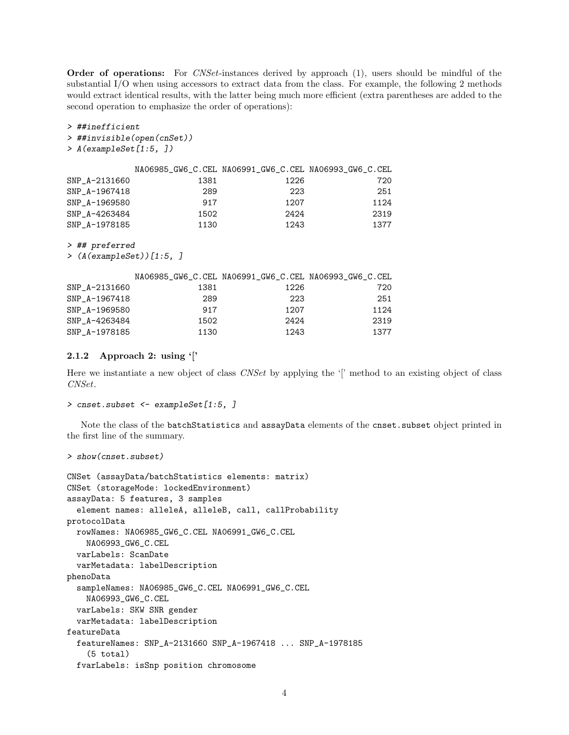Order of operations: For *CNSet*-instances derived by approach (1), users should be mindful of the substantial I/O when using accessors to extract data from the class. For example, the following 2 methods would extract identical results, with the latter being much more efficient (extra parentheses are added to the second operation to emphasize the order of operations):

#### > ##inefficient

#### > ##invisible(open(cnSet))

> A(exampleSet[1:5, ])

|               |      | NA06985_GW6_C.CEL NA06991_GW6_C.CEL NA06993_GW6_C.CEL |      |
|---------------|------|-------------------------------------------------------|------|
| SNP A-2131660 | 1381 | 1226                                                  | 720  |
| SNP A-1967418 | 289  | 223                                                   | 251  |
| SNP A-1969580 | 917  | 1207                                                  | 1124 |
| SNP A-4263484 | 1502 | 2424                                                  | 2319 |
| SNP A-1978185 | 1130 | 1243                                                  | 1377 |

> ## preferred

> (A(exampleSet))[1:5, ]

|               |      |      | NA06985_GW6_C.CEL NA06991_GW6_C.CEL NA06993_GW6_C.CEL |
|---------------|------|------|-------------------------------------------------------|
| SNP_A-2131660 | 1381 | 1226 | 720                                                   |
| SNP A-1967418 | 289  | 223  | 251                                                   |
| SNP A-1969580 | 917  | 1207 | 1124                                                  |
| SNP A-4263484 | 1502 | 2424 | 2319                                                  |
| SNP A-1978185 | 1130 | 1243 | 1377                                                  |

#### 2.1.2 Approach 2: using '['

Here we instantiate a new object of class CNSet by applying the '[' method to an existing object of class CNSet.

```
> cnset.subset <- exampleSet[1:5, ]
```
Note the class of the batchStatistics and assayData elements of the cnset.subset object printed in the first line of the summary.

```
> show(cnset.subset)
```

```
CNSet (assayData/batchStatistics elements: matrix)
CNSet (storageMode: lockedEnvironment)
assayData: 5 features, 3 samples
  element names: alleleA, alleleB, call, callProbability
protocolData
  rowNames: NA06985_GW6_C.CEL NA06991_GW6_C.CEL
    NA06993_GW6_C.CEL
  varLabels: ScanDate
  varMetadata: labelDescription
phenoData
  sampleNames: NA06985_GW6_C.CEL NA06991_GW6_C.CEL
    NA06993_GW6_C.CEL
  varLabels: SKW SNR gender
  varMetadata: labelDescription
featureData
  featureNames: SNP_A-2131660 SNP_A-1967418 ... SNP_A-1978185
    (5 total)
  fvarLabels: isSnp position chromosome
```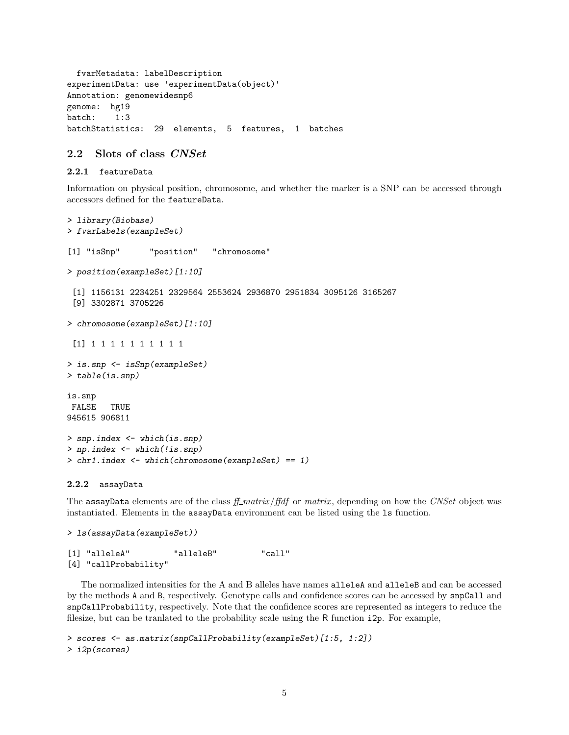fvarMetadata: labelDescription experimentData: use 'experimentData(object)' Annotation: genomewidesnp6 genome: hg19 batch: 1:3 batchStatistics: 29 elements, 5 features, 1 batches

### 2.2 Slots of class CNSet

#### 2.2.1 featureData

Information on physical position, chromosome, and whether the marker is a SNP can be accessed through accessors defined for the featureData.

```
> library(Biobase)
> fvarLabels(exampleSet)
[1] "isSnp" "position" "chromosome"
> position(exampleSet)[1:10]
 [1] 1156131 2234251 2329564 2553624 2936870 2951834 3095126 3165267
 [9] 3302871 3705226
> chromosome(exampleSet)[1:10]
 [1] 1 1 1 1 1 1 1 1 1 1
> is.snp <- isSnp(exampleSet)
> table(is.snp)
is.snp
FALSE TRUE
945615 906811
> snp.index <- which(is.snp)
> np.index <- which(!is.snp)
> chr1.index <- which(chromosome(exampleSet) == 1)
```
#### 2.2.2 assayData

The assayData elements are of the class  $f_{\perp}$  matrix/ffdf or matrix, depending on how the CNSet object was instantiated. Elements in the assayData environment can be listed using the ls function.

```
> ls(assayData(exampleSet))
```

```
[1] "alleleA" "alleleB" "call"
[4] "callProbability"
```
The normalized intensities for the A and B alleles have names alleleA and alleleB and can be accessed by the methods A and B, respectively. Genotype calls and confidence scores can be accessed by snpCall and snpCallProbability, respectively. Note that the confidence scores are represented as integers to reduce the filesize, but can be tranlated to the probability scale using the R function i2p. For example,

```
> scores <- as.matrix(snpCallProbability(exampleSet)[1:5, 1:2])
> i2p(scores)
```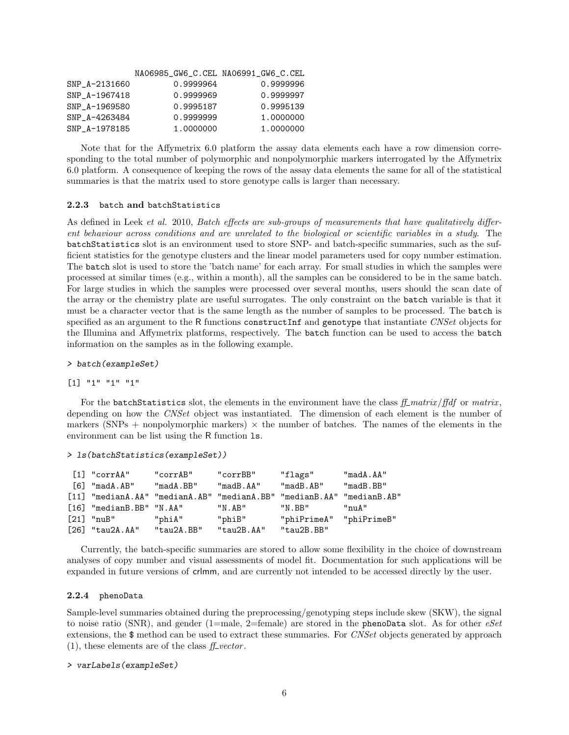|               | NA06985_GW6_C.CEL NA06991_GW6_C.CEL |           |
|---------------|-------------------------------------|-----------|
| SNP A-2131660 | 0.9999964                           | 0.9999996 |
| SNP A-1967418 | 0.9999969                           | 0.9999997 |
| SNP A-1969580 | 0.9995187                           | 0.9995139 |
| SNP A-4263484 | 0.9999999                           | 1.0000000 |
| SNP A-1978185 | 1.0000000                           | 1.0000000 |

Note that for the Affymetrix 6.0 platform the assay data elements each have a row dimension corresponding to the total number of polymorphic and nonpolymorphic markers interrogated by the Affymetrix 6.0 platform. A consequence of keeping the rows of the assay data elements the same for all of the statistical summaries is that the matrix used to store genotype calls is larger than necessary.

#### 2.2.3 batch and batchStatistics

As defined in Leek *et al.* 2010, *Batch effects are sub-groups of measurements that have qualitatively differ*ent behaviour across conditions and are unrelated to the biological or scientific variables in a study. The batchStatistics slot is an environment used to store SNP- and batch-specific summaries, such as the sufficient statistics for the genotype clusters and the linear model parameters used for copy number estimation. The batch slot is used to store the 'batch name' for each array. For small studies in which the samples were processed at similar times (e.g., within a month), all the samples can be considered to be in the same batch. For large studies in which the samples were processed over several months, users should the scan date of the array or the chemistry plate are useful surrogates. The only constraint on the batch variable is that it must be a character vector that is the same length as the number of samples to be processed. The batch is specified as an argument to the R functions constructInf and genotype that instantiate CNSet objects for the Illumina and Affymetrix platforms, respectively. The batch function can be used to access the batch information on the samples as in the following example.

#### > batch(exampleSet)

#### [1] "1" "1" "1"

For the batchStatistics slot, the elements in the environment have the class  $f_{\perp}$  matrix/ $f_{\parallel}$ df or matrix, depending on how the CNSet object was instantiated. The dimension of each element is the number of markers (SNPs + nonpolymorphic markers)  $\times$  the number of batches. The names of the elements in the environment can be list using the R function ls.

```
> ls(batchStatistics(exampleSet))
```

| [1] "corrAA"                        | "corrAB"                                                              | "corrBB"         | "flags"                 | "madA.AA"   |
|-------------------------------------|-----------------------------------------------------------------------|------------------|-------------------------|-------------|
| 「6] "madA.AB"                       | "madA.BB"                                                             | "madB.AA"        | "madB. AB"              | "madB.BB"   |
|                                     | [11] "medianA.AA" "medianA.AB" "medianA.BB" "medianB.AA" "medianB.AB" |                  |                         |             |
| [16] "medianB.BB" "N.AA"            |                                                                       | "N.AB"           | "N.BB"                  | $"$ nu $A"$ |
| $\lceil 21 \rceil$ " $\text{nuB}$ " | "phiA"                                                                | "phiB"           | "phiPrimeA" "phiPrimeB" |             |
| $[26]$ "tau $2A.AA$ "               | $"$ tau $2A$ . BB $"$                                                 | $"$ tau $2B.AA"$ | $"$ tau $2B$ . BB $"$   |             |

Currently, the batch-specific summaries are stored to allow some flexibility in the choice of downstream analyses of copy number and visual assessments of model fit. Documentation for such applications will be expanded in future versions of crlmm, and are currently not intended to be accessed directly by the user.

#### 2.2.4 phenoData

Sample-level summaries obtained during the preprocessing/genotyping steps include skew (SKW), the signal to noise ratio (SNR), and gender (1=male, 2=female) are stored in the phenoData slot. As for other  $eSet$ extensions, the \$ method can be used to extract these summaries. For CNSet objects generated by approach  $(1)$ , these elements are of the class  $f_{\perp}$  vector.

```
> varLabels(exampleSet)
```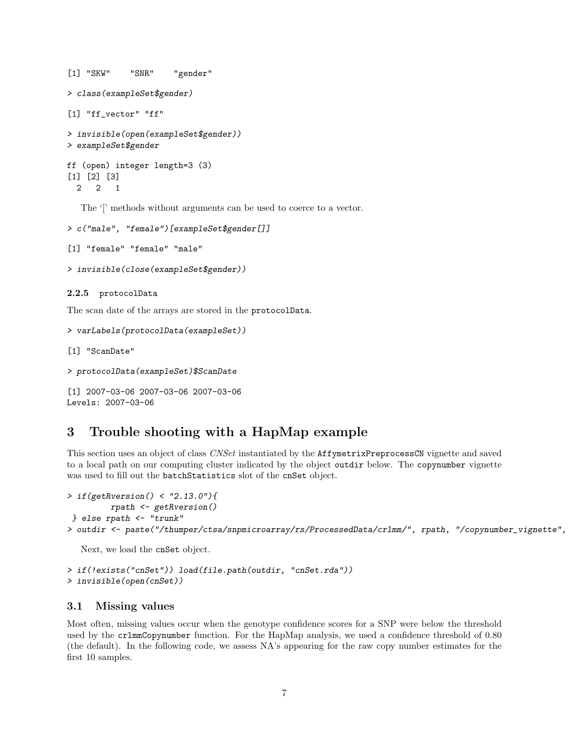```
[1] "SKW" "SNR" "gender"
> class(exampleSet$gender)
[1] "ff_vector" "ff"
> invisible(open(exampleSet$gender))
> exampleSet$gender
ff (open) integer length=3 (3)
[1] [2] [3]
 2 2 1
```
The '[' methods without arguments can be used to coerce to a vector.

```
> c("male", "female")[exampleSet$gender[]]
```

```
[1] "female" "female" "male"
```

```
> invisible(close(exampleSet$gender))
```
#### 2.2.5 protocolData

The scan date of the arrays are stored in the protocolData.

```
> varLabels(protocolData(exampleSet))
```

```
[1] "ScanDate"
```

```
> protocolData(exampleSet)$ScanDate
```

```
[1] 2007-03-06 2007-03-06 2007-03-06
Levels: 2007-03-06
```
# 3 Trouble shooting with a HapMap example

This section uses an object of class CNSet instantiated by the AffymetrixPreprocessCN vignette and saved to a local path on our computing cluster indicated by the object outdir below. The copynumber vignette was used to fill out the batchStatistics slot of the cnSet object.

```
> if(getRversion() < "2.13.0"){
         rpath <- getRversion()
} else rpath <- "trunk"
```
> outdir <- paste("/thumper/ctsa/snpmicroarray/rs/ProcessedData/crlmm/", rpath, "/copynumber\_vignette",

Next, we load the cnSet object.

```
> if(!exists("cnSet")) load(file.path(outdir, "cnSet.rda"))
> invisible(open(cnSet))
```
### 3.1 Missing values

Most often, missing values occur when the genotype confidence scores for a SNP were below the threshold used by the crlmmCopynumber function. For the HapMap analysis, we used a confidence threshold of 0.80 (the default). In the following code, we assess NA's appearing for the raw copy number estimates for the first 10 samples.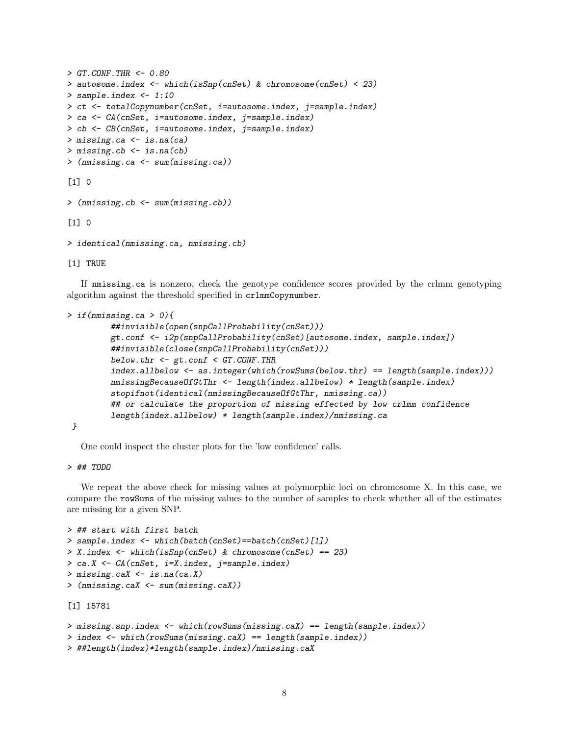```
> GT. \textit{CONF}. THR <- 0.80
> autosome.index <- which(isSnp(cnSet) & chromosome(cnSet) < 23)
> sample.index <- 1:10
> ct <- totalCopynumber(cnSet, i=autosome.index, j=sample.index)
> ca <- CA(cnSet, i=autosome.index, j=sample.index)
> cb <- CB(cnSet, i=autosome.index, j=sample.index)
> missing.ca <- is.na(ca)
> missing.cb <- is.na(cb)
> (nmissing.ca <- sum(missing.ca))
[1] 0> (nmissing.cb <- sum(missing.cb))
\lceil 1 \rceil 0
> identical(nmissing.ca, nmissing.cb)
```
[1] TRUE

If nmissing.ca is nonzero, check the genotype confidence scores provided by the crlmm genotyping algorithm against the threshold specified in crlmmCopynumber.

```
> if(nmissing.ca > 0){
         ##invisible(open(snpCallProbability(cnSet)))
         gt.conf <- i2p(snpCallProbability(cnSet)[autosome.index, sample.index])
         ##invisible(close(snpCallProbability(cnSet)))
         below.thr \leq gt.conf \leq GT.CONF.THR
         index.allbelow <- as.integer(which(rowSums(below.thr) == length(sample.index)))
         nmissingBecauseOfGtThr <- length(index.allbelow) * length(sample.index)
         stopifnot(identical(nmissingBecauseOfGtThr, nmissing.ca))
         ## or calculate the proportion of missing effected by low crlmm confidence
         length(index.allbelow) * length(sample.index)/nmissing.ca
```
}

One could inspect the cluster plots for the 'low confidence' calls.

> ## TODO

We repeat the above check for missing values at polymorphic loci on chromosome X. In this case, we compare the rowSums of the missing values to the number of samples to check whether all of the estimates are missing for a given SNP.

```
> ## start with first batch
> sample.index <- which(batch(cnSet)==batch(cnSet)[1])
> X.index <- which(isSnp(cnSet) & chromosome(cnSet) == 23)
> ca.X <- CA(cnSet, i=X.index, j=sample.index)
> missing.caX <- is.na(ca.X)
> (nmissing.caX <- sum(missing.caX))
[1] 15781
```

```
> missing.snp.index <- which(rowSums(missing.caX) == length(sample.index))
```

```
> index <- which(rowSums(missing.caX) == length(sample.index))
```

```
> ##length(index)*length(sample.index)/nmissing.caX
```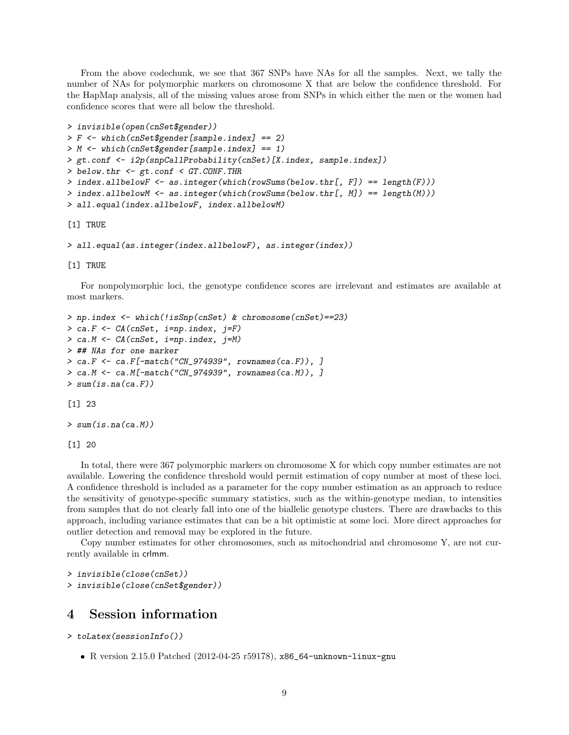From the above codechunk, we see that 367 SNPs have NAs for all the samples. Next, we tally the number of NAs for polymorphic markers on chromosome X that are below the confidence threshold. For the HapMap analysis, all of the missing values arose from SNPs in which either the men or the women had confidence scores that were all below the threshold.

```
> invisible(open(cnSet$gender))
> F <- which(cnSet$gender[sample.index] == 2)
> M <- which(cnSet$gender[sample.index] == 1)
> gt.conf <- i2p(snpCallProbability(cnSet)[X.index, sample.index])
> below.thr <- gt.conf < GT.CONF.THR
> index.allbelowF <- as.integer(which(rowSums(below.thr[, F]) == length(F)))
> index.allbelowM <- as.integer(which(rowSums(below.thr[, M]) == length(M)))
> all.equal(index.allbelowF, index.allbelowM)
```
[1] TRUE

```
> all.equal(as.integer(index.allbelowF), as.integer(index))
```
[1] TRUE

For nonpolymorphic loci, the genotype confidence scores are irrelevant and estimates are available at most markers.

```
> np.index <- which(!isSnp(cnSet) & chromosome(cnSet)==23)
> ca.F <- CA(cnSet, i=np.index, j=F)
> ca.M <- CA(cnSet, i=np.index, j=M)
> ## NAs for one marker
> ca.F <- ca.F[-match("CN_974939", rownames(ca.F)), ]
> ca.M <- ca.M[-match("CN_974939", rownames(ca.M)), ]
> sum(is.na(ca.F))
[1] 23
```

```
> sum(is.na(ca.M))
```
[1] 20

In total, there were 367 polymorphic markers on chromosome X for which copy number estimates are not available. Lowering the confidence threshold would permit estimation of copy number at most of these loci. A confidence threshold is included as a parameter for the copy number estimation as an approach to reduce the sensitivity of genotype-specific summary statistics, such as the within-genotype median, to intensities from samples that do not clearly fall into one of the biallelic genotype clusters. There are drawbacks to this approach, including variance estimates that can be a bit optimistic at some loci. More direct approaches for outlier detection and removal may be explored in the future.

Copy number estimates for other chromosomes, such as mitochondrial and chromosome Y, are not currently available in crlmm.

```
> invisible(close(cnSet))
> invisible(close(cnSet$gender))
```
## 4 Session information

```
> toLatex(sessionInfo())
```
R version 2.15.0 Patched (2012-04-25 r59178), x86\_64-unknown-linux-gnu